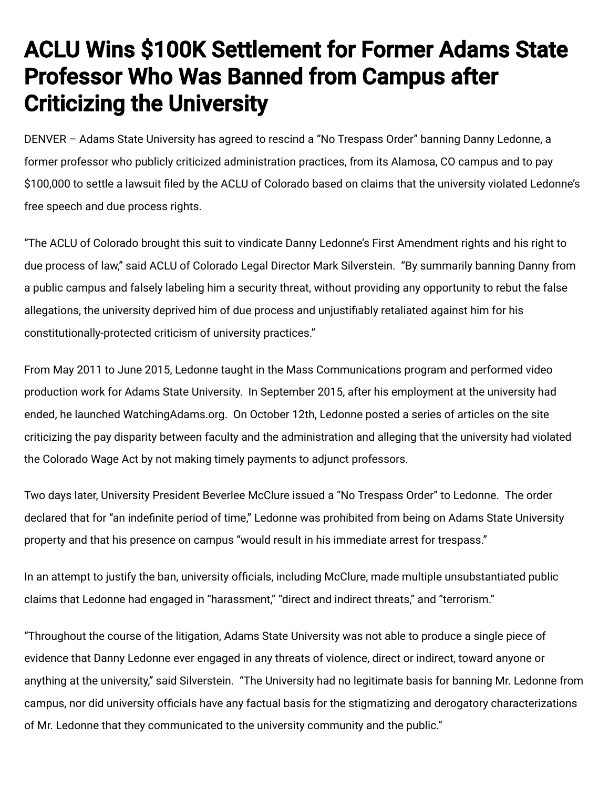## ACLU Wins \$100K Settlement for Former Adams State Professor Who Was Banned from Campus after Criticizing the University

DENVER – Adams State University has agreed to rescind a "No Trespass Order" banning Danny Ledonne, a former professor who publicly criticized administration practices, from its Alamosa, CO campus and to pay \$100,000 to settle a lawsuit filed by the ACLU of Colorado based on claims that the university violated Ledonne's free speech and due process rights.

"The ACLU of Colorado brought this suit to vindicate Danny Ledonne's First Amendment rights and his right to due process of law," said ACLU of Colorado Legal Director Mark Silverstein. "By summarily banning Danny from a public campus and falsely labeling him a security threat, without providing any opportunity to rebut the false allegations, the university deprived him of due process and unjustifiably retaliated against him for his constitutionally-protected criticism of university practices."

From May 2011 to June 2015, Ledonne taught in the Mass Communications program and performed video production work for Adams State University. In September 2015, after his employment at the university had ended, he launched WatchingAdams.org. On October 12th, Ledonne posted a series of articles on the site criticizing the pay disparity between faculty and the administration and alleging that the university had violated the Colorado Wage Act by not making timely payments to adjunct professors.

Two days later, University President Beverlee McClure issued a "No Trespass Order" to Ledonne. The order declared that for "an indefinite period of time," Ledonne was prohibited from being on Adams State University property and that his presence on campus "would result in his immediate arrest for trespass."

In an attempt to justify the ban, university officials, including McClure, made multiple unsubstantiated public claims that Ledonne had engaged in "harassment," "direct and indirect threats," and "terrorism."

"Throughout the course of the litigation, Adams State University was not able to produce a single piece of evidence that Danny Ledonne ever engaged in any threats of violence, direct or indirect, toward anyone or anything at the university," said Silverstein. "The University had no legitimate basis for banning Mr. Ledonne from campus, nor did university officials have any factual basis for the stigmatizing and derogatory characterizations of Mr. Ledonne that they communicated to the university community and the public."